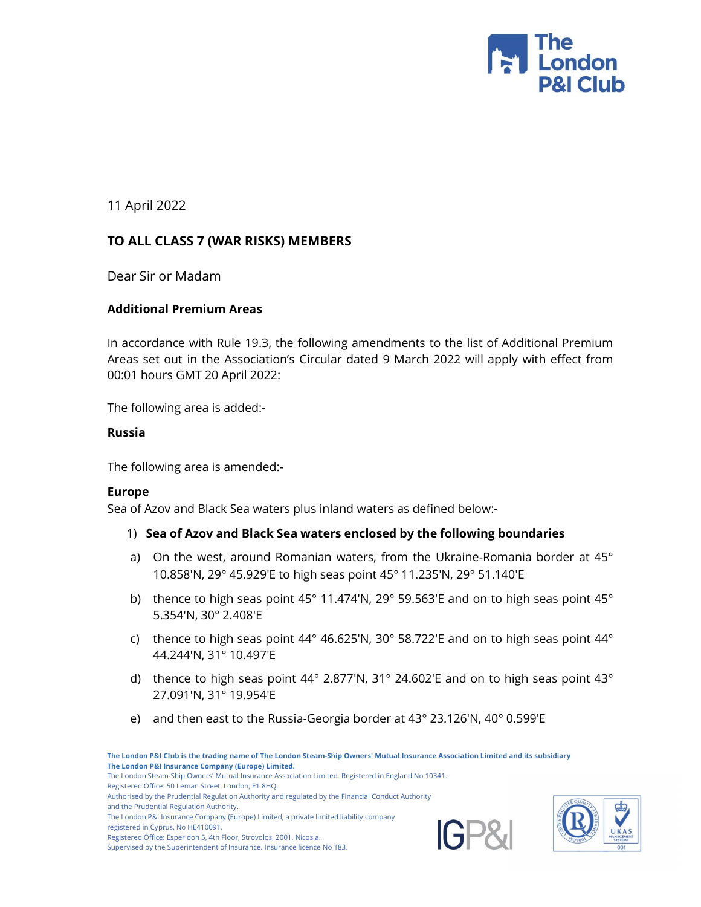

11 April 2022

# TO ALL CLASS 7 (WAR RISKS) MEMBERS

Dear Sir or Madam

### Additional Premium Areas

In accordance with Rule 19.3, the following amendments to the list of Additional Premium Areas set out in the Association's Circular dated 9 March 2022 will apply with effect from 00:01 hours GMT 20 April 2022:

The following area is added:-

### Russia

The following area is amended:-

### Europe

Sea of Azov and Black Sea waters plus inland waters as defined below:-

- 1) Sea of Azov and Black Sea waters enclosed by the following boundaries
- a) On the west, around Romanian waters, from the Ukraine-Romania border at 45° 10.858'N, 29° 45.929'E to high seas point 45° 11.235'N, 29° 51.140'E
- b) thence to high seas point 45° 11.474'N, 29° 59.563'E and on to high seas point 45° 5.354'N, 30° 2.408'E
- c) thence to high seas point 44° 46.625'N, 30° 58.722'E and on to high seas point 44° 44.244'N, 31° 10.497'E
- d) thence to high seas point 44° 2.877'N, 31° 24.602'E and on to high seas point 43° 27.091'N, 31° 19.954'E
- e) and then east to the Russia-Georgia border at 43° 23.126'N, 40° 0.599'E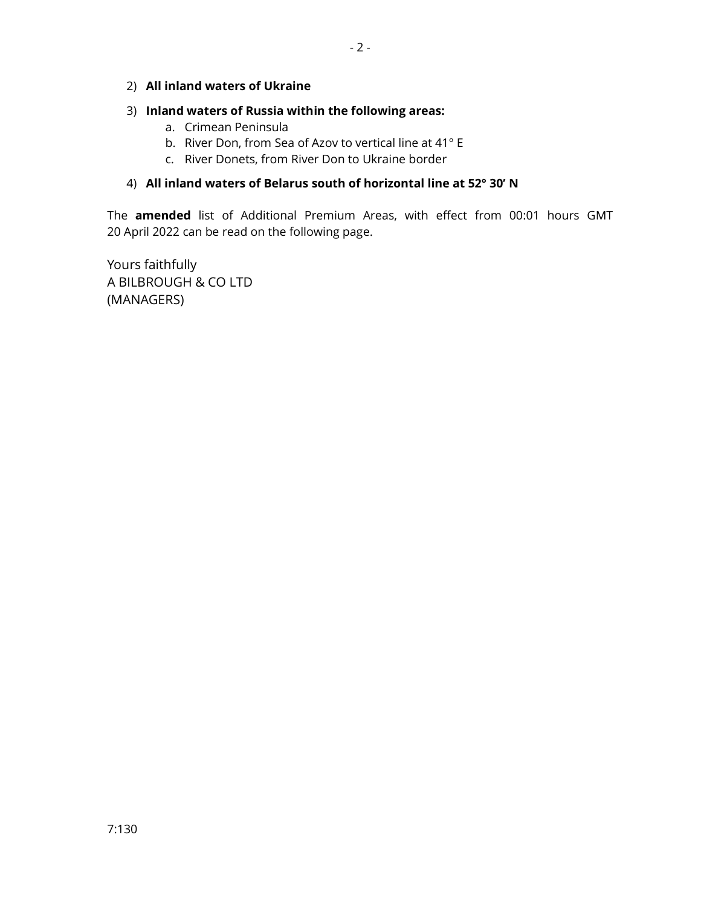#### 2) All inland waters of Ukraine

# 3) Inland waters of Russia within the following areas:

- a. Crimean Peninsula
- b. River Don, from Sea of Azov to vertical line at 41° E
- c. River Donets, from River Don to Ukraine border

# 4) All inland waters of Belarus south of horizontal line at 52° 30' N

The amended list of Additional Premium Areas, with effect from 00:01 hours GMT 20 April 2022 can be read on the following page.

Yours faithfully A BILBROUGH & CO LTD (MANAGERS)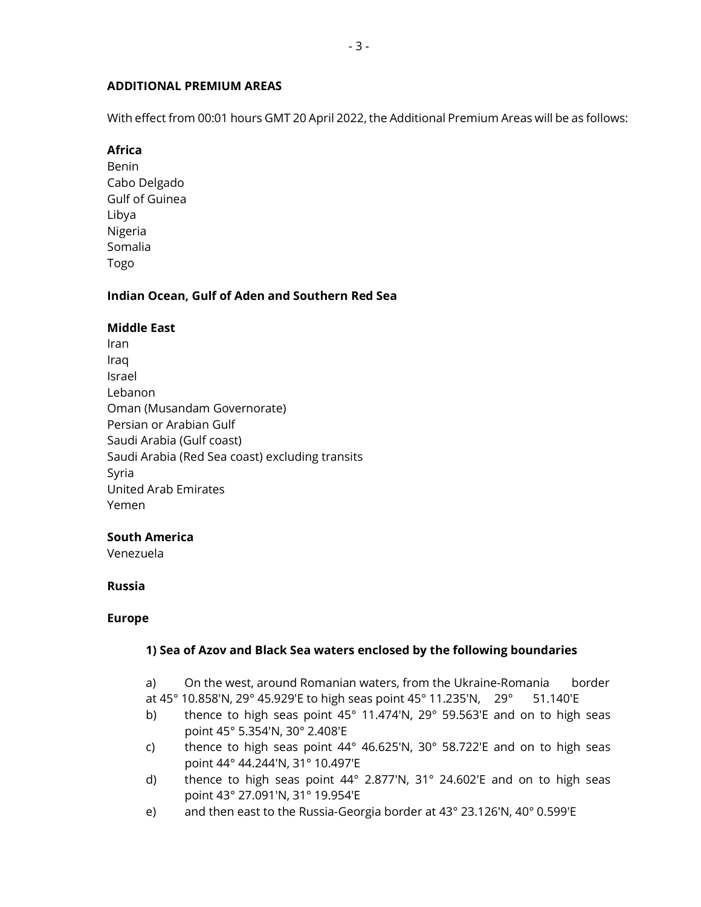### ADDITIONAL PREMIUM AREAS

With effect from 00:01 hours GMT 20 April 2022, the Additional Premium Areas will be as follows:

# Africa

Benin Cabo Delgado Gulf of Guinea Libya Nigeria Somalia Togo

# Indian Ocean, Gulf of Aden and Southern Red Sea

# Middle East

Iran Iraq Israel Lebanon Oman (Musandam Governorate) Persian or Arabian Gulf Saudi Arabia (Gulf coast) Saudi Arabia (Red Sea coast) excluding transits Syria United Arab Emirates Yemen

### South America

Venezuela

### Russia

#### Europe

### 1) Sea of Azov and Black Sea waters enclosed by the following boundaries

- a) On the west, around Romanian waters, from the Ukraine-Romania border
- at 45° 10.858'N, 29° 45.929'E to high seas point 45° 11.235'N, 29° 51.140'E
- b) thence to high seas point 45° 11.474'N, 29° 59.563'E and on to high seas point 45° 5.354'N, 30° 2.408'E
- c) thence to high seas point 44° 46.625'N, 30° 58.722'E and on to high seas point 44° 44.244'N, 31° 10.497'E
- d) thence to high seas point  $44^{\circ}$  2.877'N, 31° 24.602'E and on to high seas point 43° 27.091'N, 31° 19.954'E
- e) and then east to the Russia-Georgia border at 43° 23.126'N, 40° 0.599'E